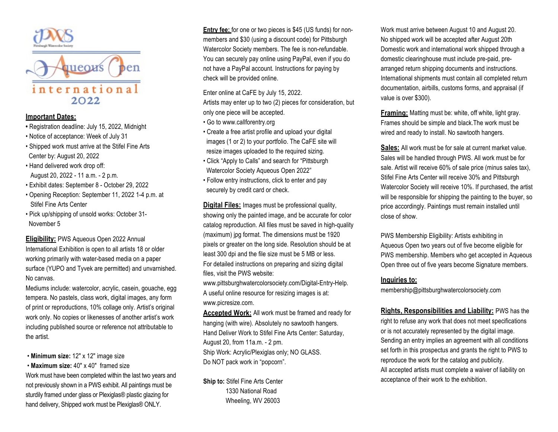



## **Important Dates:**

- Registration deadline: July 15, 2022, Midnight
- Notice of acceptance: Week of July 31
- Shipped work must arrive at the Stifel Fine Arts Center by: August 20, 2022
- Hand delivered work drop off: August 20, 2022 - 11 a.m. - 2 p.m.
- Exhibit dates: September 8 October 29, 2022
- Opening Reception: September 11, 2022 1-4 p.m. at Stifel Fine Arts Center
- Pick up/shipping of unsold works: October 31- November 5

**Eligibility:** PWS Aqueous Open 2022 Annual International Exhibition is open to all artists 18 or older working primarily with water-based media on a paper surface (YUPO and Tyvek are permitted) and unvarnished. No canvas.

Mediums include: watercolor, acrylic, casein, gouache, egg tempera. No pastels, class work, digital images, any form of print or reproductions, 10% collage only. Artist's original work only. No copies or likenesses of another artist's work including published source or reference not attributable to the artist.

- **Minimum size:** 12" x 12" image size
- **Maximum size:** 40" x 40" framed size

Work must have been completed within the last two years and not previously shown in a PWS exhibit. All paintings must be sturdily framed under glass or Plexiglas® plastic glazing for hand delivery, Shipped work must be Plexiglas® ONLY.

**Entry fee:** for one or two pieces is \$45 (US funds) for nonmembers and \$30 (using a discount code) for Pittsburgh Watercolor Society members. The fee is non-refundable. You can securely pay online using PayPal, even if you do not have a PayPal account. Instructions for paying by check will be provided online.

Enter online at CaFE by July 15, 2022. Artists may enter up to two (2) pieces for consideration, but

only one piece will be accepted.

- Go to www.callforentry.org
- Create a free artist profile and upload your digital images (1 or 2) to your portfolio. The CaFE site will resize images uploaded to the required sizing.
- Click "Apply to Calls" and search for "Pittsburgh Watercolor Society Aqueous Open 2022"
- Follow entry instructions, click to enter and pay securely by credit card or check.

**Digital Files:** Images must be professional quality, showing only the painted image, and be accurate for color catalog reproduction. All files must be saved in high-quality (maximum) jpg format. The dimensions must be 1920 pixels or greater on the long side. Resolution should be at least 300 dpi and the file size must be 5 MB or less. For detailed instructions on preparing and sizing digital files, visit the PWS website:

www.pittsburghwatercolorsociety.com/Digital-Entry-Help. A useful online resource for resizing images is at: www.picresize.com.

**Accepted Work:** All work must be framed and ready for hanging (with wire). Absolutely no sawtooth hangers. Hand Deliver Work to Stifel Fine Arts Center: Saturday, August 20, from 11a.m. - 2 pm. Ship Work: Acrylic/Plexiglas only; NO GLASS. Do NOT pack work in "popcorn".

**Ship to:** Stifel Fine Arts Center 1330 National Road Wheeling, WV 26003

Work must arrive between August 10 and August 20. No shipped work will be accepted after August 20th Domestic work and international work shipped through a domestic clearinghouse must include pre-paid, prearranged return shipping documents and instructions. International shipments must contain all completed return documentation, airbills, customs forms, and appraisal (if value is over \$300).

**Framing:** Matting must be: white, off white, light gray. Frames should be simple and black.The work must be wired and ready to install. No sawtooth hangers.

**Sales:** All work must be for sale at current market value. Sales will be handled through PWS. All work must be for sale. Artist will receive 60% of sale price (minus sales tax), Stifel Fine Arts Center will receive 30% and Pittsburgh Watercolor Society will receive 10%. If purchased, the artist will be responsible for shipping the painting to the buyer, so price accordingly. Paintings must remain installed until close of show.

PWS Membership Eligibility: Artists exhibiting in Aqueous Open two years out of five become eligible for PWS membership. Members who get accepted in Aqueous Open three out of five years become Signature members.

## **Inquiries to:**

membership@pittsburghwatercolorsociety.com

**Rights, Responsibilities and Liability:** PWS has the right to refuse any work that does not meet specifications or is not accurately represented by the digital image. Sending an entry implies an agreement with all conditions set forth in this prospectus and grants the right to PWS to reproduce the work for the catalog and publicity. All accepted artists must complete a waiver of liability on acceptance of their work to the exhibition.